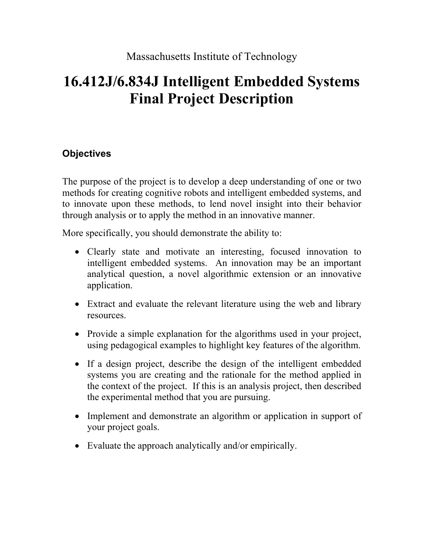# **16.412J/6.834J Intelligent Embedded Systems Final Project Description**

## **Objectives**

The purpose of the project is to develop a deep understanding of one or two methods for creating cognitive robots and intelligent embedded systems, and to innovate upon these methods, to lend novel insight into their behavior through analysis or to apply the method in an innovative manner.

More specifically, you should demonstrate the ability to:

- Clearly state and motivate an interesting, focused innovation to intelligent embedded systems. An innovation may be an important analytical question, a novel algorithmic extension or an innovative application.
- Extract and evaluate the relevant literature using the web and library resources.
- Provide a simple explanation for the algorithms used in your project, using pedagogical examples to highlight key features of the algorithm.
- If a design project, describe the design of the intelligent embedded systems you are creating and the rationale for the method applied in the context of the project. If this is an analysis project, then described the experimental method that you are pursuing.
- Implement and demonstrate an algorithm or application in support of your project goals.
- Evaluate the approach analytically and/or empirically.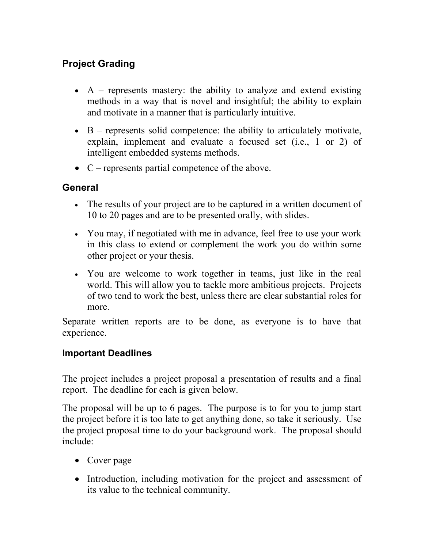## **Project Grading**

- $A$  represents mastery: the ability to analyze and extend existing methods in a way that is novel and insightful; the ability to explain and motivate in a manner that is particularly intuitive.
- $\bullet$  B represents solid competence: the ability to articulately motivate, explain, implement and evaluate a focused set (i.e., 1 or 2) of intelligent embedded systems methods.
- C represents partial competence of the above.

### **General**

- The results of your project are to be captured in a written document of 10 to 20 pages and are to be presented orally, with slides.
- You may, if negotiated with me in advance, feel free to use your work in this class to extend or complement the work you do within some other project or your thesis.
- You are welcome to work together in teams, just like in the real world. This will allow you to tackle more ambitious projects. Projects of two tend to work the best, unless there are clear substantial roles for more.

Separate written reports are to be done, as everyone is to have that experience.

#### **Important Deadlines**

The project includes a project proposal a presentation of results and a final report. The deadline for each is given below.

The proposal will be up to 6 pages. The purpose is to for you to jump start the project before it is too late to get anything done, so take it seriously. Use the project proposal time to do your background work. The proposal should include:

- Cover page
- Introduction, including motivation for the project and assessment of its value to the technical community.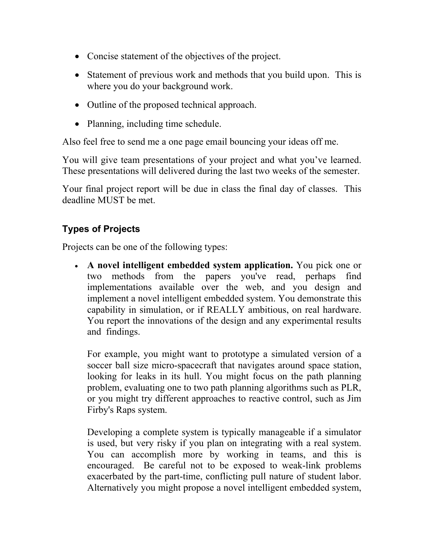- Concise statement of the objectives of the project.
- Statement of previous work and methods that you build upon. This is where you do your background work.
- Outline of the proposed technical approach.
- Planning, including time schedule.

Also feel free to send me a one page email bouncing your ideas off me.

You will give team presentations of your project and what you've learned. These presentations will delivered during the last two weeks of the semester.

Your final project report will be due in class the final day of classes. This deadline MUST be met.

#### **Types of Projects**

Projects can be one of the following types:

• **A novel intelligent embedded system application.** You pick one or two methods from the papers you've read, perhaps find implementations available over the web, and you design and implement a novel intelligent embedded system. You demonstrate this capability in simulation, or if REALLY ambitious, on real hardware. You report the innovations of the design and any experimental results and\_findings.

For example, you might want to prototype a simulated version of a soccer ball size micro-spacecraft that navigates around space station, looking for leaks in its hull. You might focus on the path planning problem, evaluating one to two path planning algorithms such as PLR, or you might try different approaches to reactive control, such as Jim Firby's Raps system.

Developing a complete system is typically manageable if a simulator is used, but very risky if you plan on integrating with a real system. You can accomplish more by working in teams, and this is encouraged. Be careful not to be exposed to weak-link problems exacerbated by the part-time, conflicting pull nature of student labor. Alternatively you might propose a novel intelligent embedded system,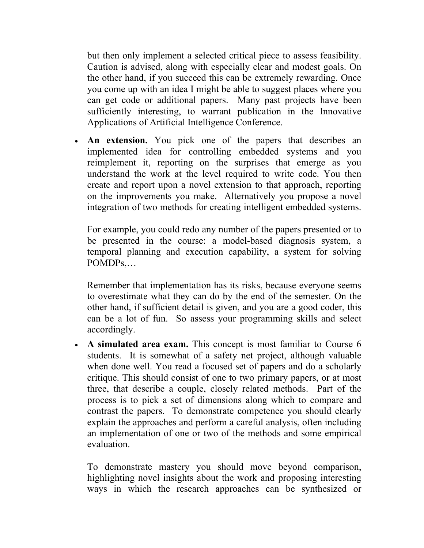but then only implement a selected critical piece to assess feasibility. Caution is advised, along with especially clear and modest goals. On the other hand, if you succeed this can be extremely rewarding. Once you come up with an idea I might be able to suggest places where you can get code or additional papers. Many past projects have been sufficiently interesting, to warrant publication in the Innovative Applications of Artificial Intelligence Conference.

• **An extension.** You pick one of the papers that describes an implemented idea for controlling embedded systems and you reimplement it, reporting on the surprises that emerge as you understand the work at the level required to write code. You then create and report upon a novel extension to that approach, reporting on the improvements you make. Alternatively you propose a novel integration of two methods for creating intelligent embedded systems.

For example, you could redo any number of the papers presented or to be presented in the course: a model-based diagnosis system, a temporal planning and execution capability, a system for solving POMDPs,…

Remember that implementation has its risks, because everyone seems to overestimate what they can do by the end of the semester. On the other hand, if sufficient detail is given, and you are a good coder, this can be a lot of fun. So assess your programming skills and select accordingly.

• A simulated area exam. This concept is most familiar to Course 6 students. It is somewhat of a safety net project, although valuable when done well. You read a focused set of papers and do a scholarly critique. This should consist of one to two primary papers, or at most three, that describe a couple, closely related methods. Part of the process is to pick a set of dimensions along which to compare and contrast the papers. To demonstrate competence you should clearly explain the approaches and perform a careful analysis, often including an implementation of one or two of the methods and some empirical evaluation.

To demonstrate mastery you should move beyond comparison, highlighting novel insights about the work and proposing interesting ways in which the research approaches can be synthesized or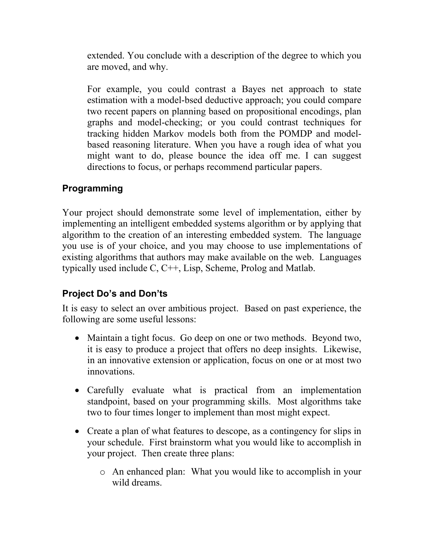extended. You conclude with a description of the degree to which you are moved, and why.

For example, you could contrast a Bayes net approach to state estimation with a model-bsed deductive approach; you could compare two recent papers on planning based on propositional encodings, plan graphs and model-checking; or you could contrast techniques for tracking hidden Markov models both from the POMDP and modelbased reasoning literature. When you have a rough idea of what you might want to do, please bounce the idea off me. I can suggest directions to focus, or perhaps recommend particular papers.

#### **Programming**

Your project should demonstrate some level of implementation, either by implementing an intelligent embedded systems algorithm or by applying that algorithm to the creation of an interesting embedded system. The language you use is of your choice, and you may choose to use implementations of existing algorithms that authors may make available on the web. Languages typically used include C, C++, Lisp, Scheme, Prolog and Matlab.

#### **Project Do's and Don'ts**

It is easy to select an over ambitious project. Based on past experience, the following are some useful lessons:

- Maintain a tight focus. Go deep on one or two methods. Beyond two, it is easy to produce a project that offers no deep insights. Likewise, in an innovative extension or application, focus on one or at most two innovations.
- Carefully evaluate what is practical from an implementation standpoint, based on your programming skills. Most algorithms take two to four times longer to implement than most might expect.
- Create a plan of what features to descope, as a contingency for slips in your schedule. First brainstorm what you would like to accomplish in your project. Then create three plans:
	- o An enhanced plan: What you would like to accomplish in your wild dreams.